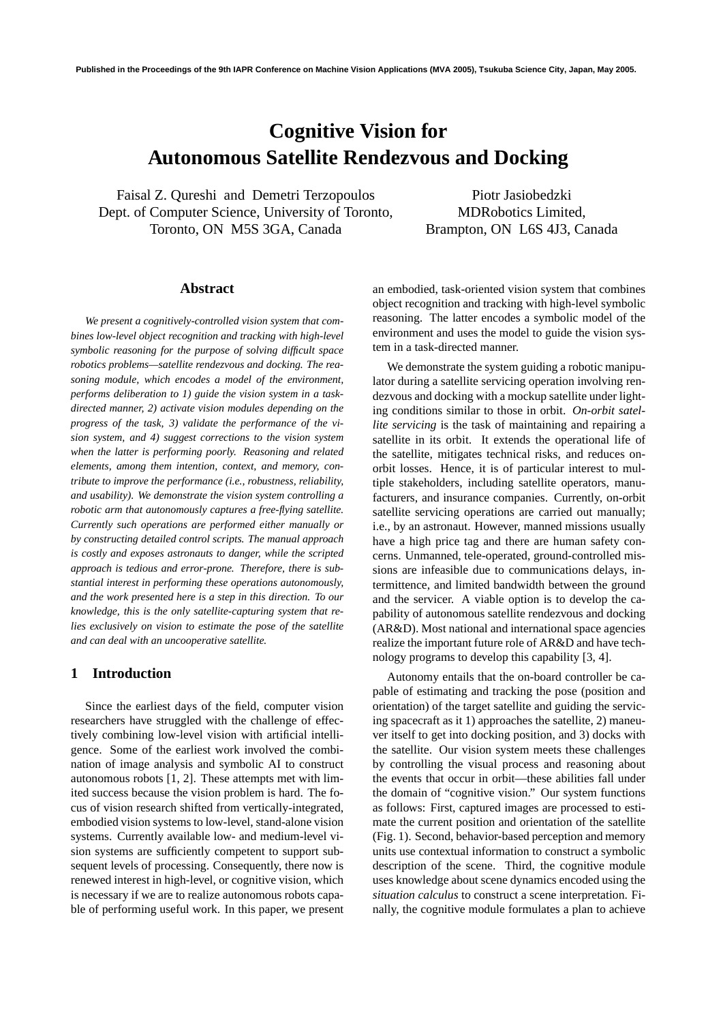# **Cognitive Vision for Autonomous Satellite Rendezvous and Docking**

Faisal Z. Qureshi and Demetri Terzopoulos Dept. of Computer Science, University of Toronto, Toronto, ON M5S 3GA, Canada

Piotr Jasiobedzki MDRobotics Limited, Brampton, ON L6S 4J3, Canada

#### **Abstract**

*We present a cognitively-controlled vision system that combines low-level object recognition and tracking with high-level symbolic reasoning for the purpose of solving difficult space robotics problems—satellite rendezvous and docking. The reasoning module, which encodes a model of the environment, performs deliberation to 1) guide the vision system in a taskdirected manner, 2) activate vision modules depending on the progress of the task, 3) validate the performance of the vision system, and 4) suggest corrections to the vision system when the latter is performing poorly. Reasoning and related elements, among them intention, context, and memory, contribute to improve the performance (i.e., robustness, reliability, and usability). We demonstrate the vision system controlling a robotic arm that autonomously captures a free-flying satellite. Currently such operations are performed either manually or by constructing detailed control scripts. The manual approach is costly and exposes astronauts to danger, while the scripted approach is tedious and error-prone. Therefore, there is substantial interest in performing these operations autonomously, and the work presented here is a step in this direction. To our knowledge, this is the only satellite-capturing system that relies exclusively on vision to estimate the pose of the satellite and can deal with an uncooperative satellite.*

#### **1 Introduction**

Since the earliest days of the field, computer vision researchers have struggled with the challenge of effectively combining low-level vision with artificial intelligence. Some of the earliest work involved the combination of image analysis and symbolic AI to construct autonomous robots [1, 2]. These attempts met with limited success because the vision problem is hard. The focus of vision research shifted from vertically-integrated, embodied vision systems to low-level, stand-alone vision systems. Currently available low- and medium-level vision systems are sufficiently competent to support subsequent levels of processing. Consequently, there now is renewed interest in high-level, or cognitive vision, which is necessary if we are to realize autonomous robots capable of performing useful work. In this paper, we present

an embodied, task-oriented vision system that combines object recognition and tracking with high-level symbolic reasoning. The latter encodes a symbolic model of the environment and uses the model to guide the vision system in a task-directed manner.

We demonstrate the system guiding a robotic manipulator during a satellite servicing operation involving rendezvous and docking with a mockup satellite under lighting conditions similar to those in orbit. *On-orbit satellite servicing* is the task of maintaining and repairing a satellite in its orbit. It extends the operational life of the satellite, mitigates technical risks, and reduces onorbit losses. Hence, it is of particular interest to multiple stakeholders, including satellite operators, manufacturers, and insurance companies. Currently, on-orbit satellite servicing operations are carried out manually; i.e., by an astronaut. However, manned missions usually have a high price tag and there are human safety concerns. Unmanned, tele-operated, ground-controlled missions are infeasible due to communications delays, intermittence, and limited bandwidth between the ground and the servicer. A viable option is to develop the capability of autonomous satellite rendezvous and docking (AR&D). Most national and international space agencies realize the important future role of AR&D and have technology programs to develop this capability [3, 4].

Autonomy entails that the on-board controller be capable of estimating and tracking the pose (position and orientation) of the target satellite and guiding the servicing spacecraft as it 1) approaches the satellite, 2) maneuver itself to get into docking position, and 3) docks with the satellite. Our vision system meets these challenges by controlling the visual process and reasoning about the events that occur in orbit—these abilities fall under the domain of "cognitive vision." Our system functions as follows: First, captured images are processed to estimate the current position and orientation of the satellite (Fig. 1). Second, behavior-based perception and memory units use contextual information to construct a symbolic description of the scene. Third, the cognitive module uses knowledge about scene dynamics encoded using the *situation calculus* to construct a scene interpretation. Finally, the cognitive module formulates a plan to achieve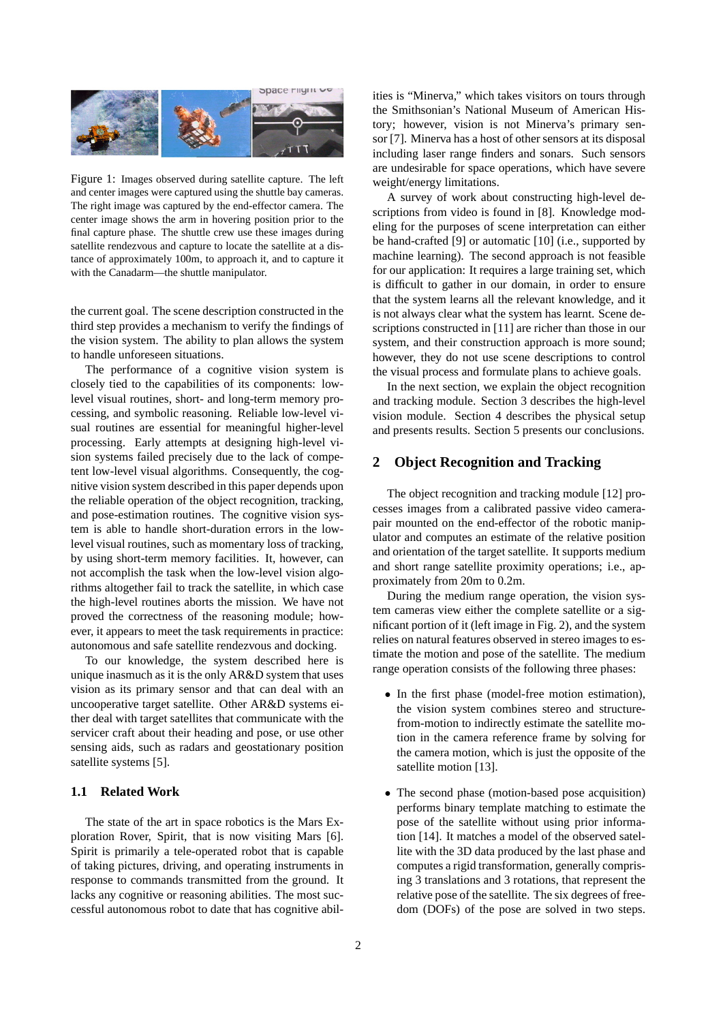

Figure 1: Images observed during satellite capture. The left and center images were captured using the shuttle bay cameras. The right image was captured by the end-effector camera. The center image shows the arm in hovering position prior to the final capture phase. The shuttle crew use these images during satellite rendezvous and capture to locate the satellite at a distance of approximately 100m, to approach it, and to capture it with the Canadarm—the shuttle manipulator.

the current goal. The scene description constructed in the third step provides a mechanism to verify the findings of the vision system. The ability to plan allows the system to handle unforeseen situations.

The performance of a cognitive vision system is closely tied to the capabilities of its components: lowlevel visual routines, short- and long-term memory processing, and symbolic reasoning. Reliable low-level visual routines are essential for meaningful higher-level processing. Early attempts at designing high-level vision systems failed precisely due to the lack of competent low-level visual algorithms. Consequently, the cognitive vision system described in this paper depends upon the reliable operation of the object recognition, tracking, and pose-estimation routines. The cognitive vision system is able to handle short-duration errors in the lowlevel visual routines, such as momentary loss of tracking, by using short-term memory facilities. It, however, can not accomplish the task when the low-level vision algorithms altogether fail to track the satellite, in which case the high-level routines aborts the mission. We have not proved the correctness of the reasoning module; however, it appears to meet the task requirements in practice: autonomous and safe satellite rendezvous and docking.

To our knowledge, the system described here is unique inasmuch as it is the only AR&D system that uses vision as its primary sensor and that can deal with an uncooperative target satellite. Other AR&D systems either deal with target satellites that communicate with the servicer craft about their heading and pose, or use other sensing aids, such as radars and geostationary position satellite systems [5].

## **1.1 Related Work**

The state of the art in space robotics is the Mars Exploration Rover, Spirit, that is now visiting Mars [6]. Spirit is primarily a tele-operated robot that is capable of taking pictures, driving, and operating instruments in response to commands transmitted from the ground. It lacks any cognitive or reasoning abilities. The most successful autonomous robot to date that has cognitive abilities is "Minerva," which takes visitors on tours through the Smithsonian's National Museum of American History; however, vision is not Minerva's primary sensor [7]. Minerva has a host of other sensors at its disposal including laser range finders and sonars. Such sensors are undesirable for space operations, which have severe weight/energy limitations.

A survey of work about constructing high-level descriptions from video is found in [8]. Knowledge modeling for the purposes of scene interpretation can either be hand-crafted [9] or automatic [10] (i.e., supported by machine learning). The second approach is not feasible for our application: It requires a large training set, which is difficult to gather in our domain, in order to ensure that the system learns all the relevant knowledge, and it is not always clear what the system has learnt. Scene descriptions constructed in [11] are richer than those in our system, and their construction approach is more sound; however, they do not use scene descriptions to control the visual process and formulate plans to achieve goals.

In the next section, we explain the object recognition and tracking module. Section 3 describes the high-level vision module. Section 4 describes the physical setup and presents results. Section 5 presents our conclusions.

## **2 Object Recognition and Tracking**

The object recognition and tracking module [12] processes images from a calibrated passive video camerapair mounted on the end-effector of the robotic manipulator and computes an estimate of the relative position and orientation of the target satellite. It supports medium and short range satellite proximity operations; i.e., approximately from 20m to 0.2m.

During the medium range operation, the vision system cameras view either the complete satellite or a significant portion of it (left image in Fig. 2), and the system relies on natural features observed in stereo images to estimate the motion and pose of the satellite. The medium range operation consists of the following three phases:

- In the first phase (model-free motion estimation), the vision system combines stereo and structurefrom-motion to indirectly estimate the satellite motion in the camera reference frame by solving for the camera motion, which is just the opposite of the satellite motion [13].
- The second phase (motion-based pose acquisition) performs binary template matching to estimate the pose of the satellite without using prior information [14]. It matches a model of the observed satellite with the 3D data produced by the last phase and computes a rigid transformation, generally comprising 3 translations and 3 rotations, that represent the relative pose of the satellite. The six degrees of freedom (DOFs) of the pose are solved in two steps.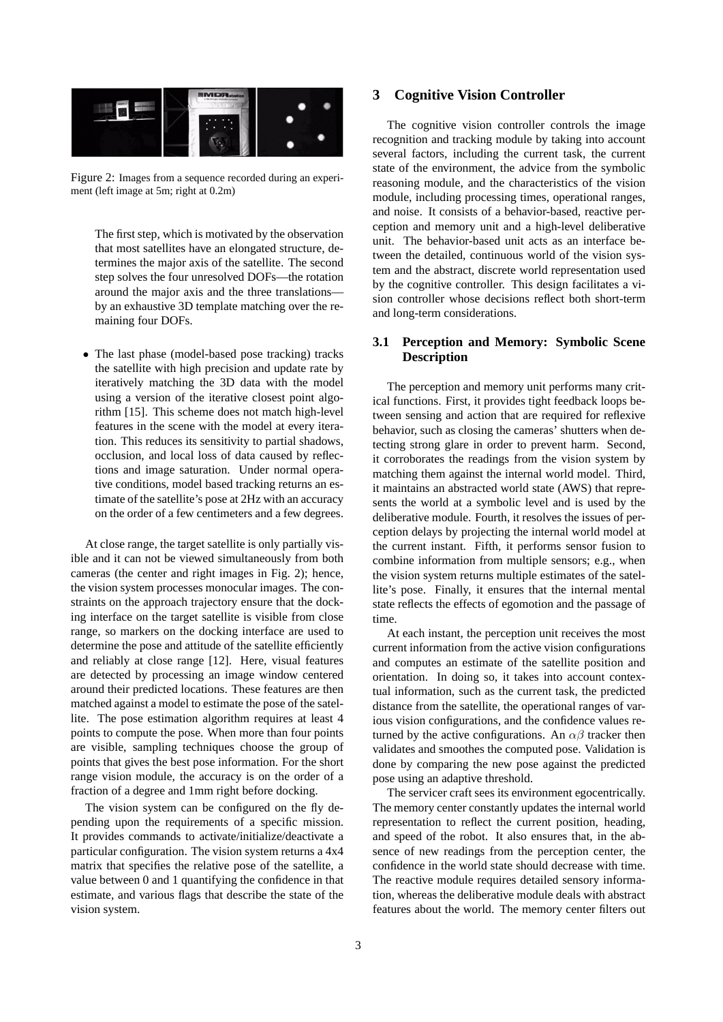

Figure 2: Images from a sequence recorded during an experiment (left image at 5m; right at 0.2m)

The first step, which is motivated by the observation that most satellites have an elongated structure, determines the major axis of the satellite. The second step solves the four unresolved DOFs—the rotation around the major axis and the three translations by an exhaustive 3D template matching over the remaining four DOFs.

• The last phase (model-based pose tracking) tracks the satellite with high precision and update rate by iteratively matching the 3D data with the model using a version of the iterative closest point algorithm [15]. This scheme does not match high-level features in the scene with the model at every iteration. This reduces its sensitivity to partial shadows, occlusion, and local loss of data caused by reflections and image saturation. Under normal operative conditions, model based tracking returns an estimate of the satellite's pose at 2Hz with an accuracy on the order of a few centimeters and a few degrees.

At close range, the target satellite is only partially visible and it can not be viewed simultaneously from both cameras (the center and right images in Fig. 2); hence, the vision system processes monocular images. The constraints on the approach trajectory ensure that the docking interface on the target satellite is visible from close range, so markers on the docking interface are used to determine the pose and attitude of the satellite efficiently and reliably at close range [12]. Here, visual features are detected by processing an image window centered around their predicted locations. These features are then matched against a model to estimate the pose of the satellite. The pose estimation algorithm requires at least 4 points to compute the pose. When more than four points are visible, sampling techniques choose the group of points that gives the best pose information. For the short range vision module, the accuracy is on the order of a fraction of a degree and 1mm right before docking.

The vision system can be configured on the fly depending upon the requirements of a specific mission. It provides commands to activate/initialize/deactivate a particular configuration. The vision system returns a 4x4 matrix that specifies the relative pose of the satellite, a value between 0 and 1 quantifying the confidence in that estimate, and various flags that describe the state of the vision system.

## **3 Cognitive Vision Controller**

The cognitive vision controller controls the image recognition and tracking module by taking into account several factors, including the current task, the current state of the environment, the advice from the symbolic reasoning module, and the characteristics of the vision module, including processing times, operational ranges, and noise. It consists of a behavior-based, reactive perception and memory unit and a high-level deliberative unit. The behavior-based unit acts as an interface between the detailed, continuous world of the vision system and the abstract, discrete world representation used by the cognitive controller. This design facilitates a vision controller whose decisions reflect both short-term and long-term considerations.

#### **3.1 Perception and Memory: Symbolic Scene Description**

The perception and memory unit performs many critical functions. First, it provides tight feedback loops between sensing and action that are required for reflexive behavior, such as closing the cameras' shutters when detecting strong glare in order to prevent harm. Second, it corroborates the readings from the vision system by matching them against the internal world model. Third, it maintains an abstracted world state (AWS) that represents the world at a symbolic level and is used by the deliberative module. Fourth, it resolves the issues of perception delays by projecting the internal world model at the current instant. Fifth, it performs sensor fusion to combine information from multiple sensors; e.g., when the vision system returns multiple estimates of the satellite's pose. Finally, it ensures that the internal mental state reflects the effects of egomotion and the passage of time.

At each instant, the perception unit receives the most current information from the active vision configurations and computes an estimate of the satellite position and orientation. In doing so, it takes into account contextual information, such as the current task, the predicted distance from the satellite, the operational ranges of various vision configurations, and the confidence values returned by the active configurations. An  $\alpha\beta$  tracker then validates and smoothes the computed pose. Validation is done by comparing the new pose against the predicted pose using an adaptive threshold.

The servicer craft sees its environment egocentrically. The memory center constantly updates the internal world representation to reflect the current position, heading, and speed of the robot. It also ensures that, in the absence of new readings from the perception center, the confidence in the world state should decrease with time. The reactive module requires detailed sensory information, whereas the deliberative module deals with abstract features about the world. The memory center filters out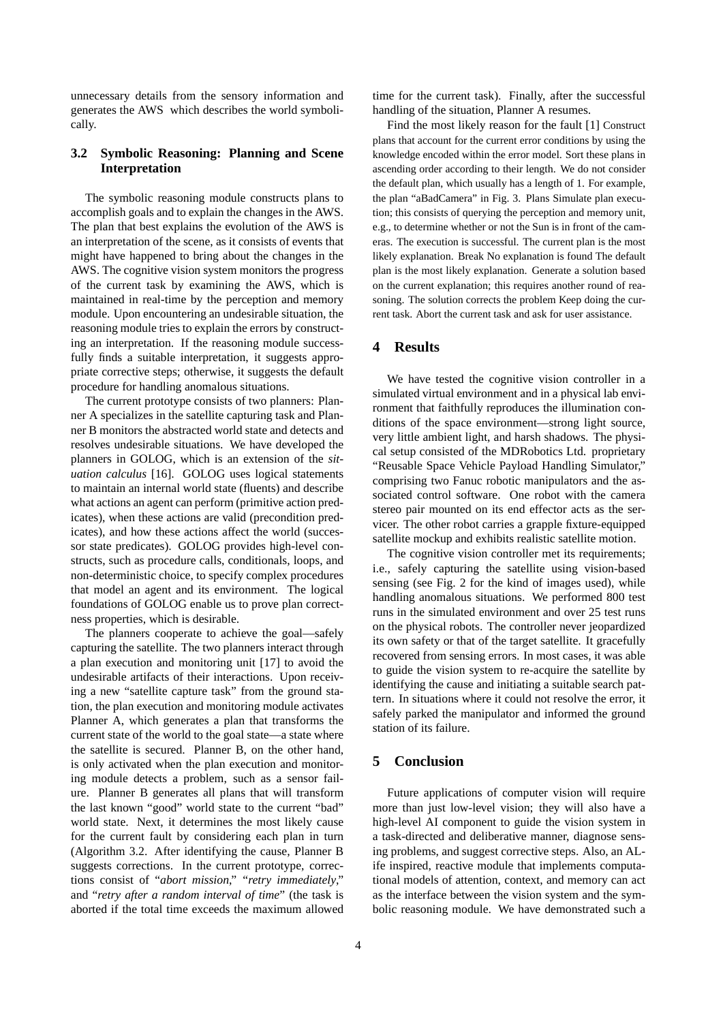unnecessary details from the sensory information and generates the AWS which describes the world symbolically.

## **3.2 Symbolic Reasoning: Planning and Scene Interpretation**

The symbolic reasoning module constructs plans to accomplish goals and to explain the changes in the AWS. The plan that best explains the evolution of the AWS is an interpretation of the scene, as it consists of events that might have happened to bring about the changes in the AWS. The cognitive vision system monitors the progress of the current task by examining the AWS, which is maintained in real-time by the perception and memory module. Upon encountering an undesirable situation, the reasoning module tries to explain the errors by constructing an interpretation. If the reasoning module successfully finds a suitable interpretation, it suggests appropriate corrective steps; otherwise, it suggests the default procedure for handling anomalous situations.

The current prototype consists of two planners: Planner A specializes in the satellite capturing task and Planner B monitors the abstracted world state and detects and resolves undesirable situations. We have developed the planners in GOLOG, which is an extension of the *situation calculus* [16]. GOLOG uses logical statements to maintain an internal world state (fluents) and describe what actions an agent can perform (primitive action predicates), when these actions are valid (precondition predicates), and how these actions affect the world (successor state predicates). GOLOG provides high-level constructs, such as procedure calls, conditionals, loops, and non-deterministic choice, to specify complex procedures that model an agent and its environment. The logical foundations of GOLOG enable us to prove plan correctness properties, which is desirable.

The planners cooperate to achieve the goal—safely capturing the satellite. The two planners interact through a plan execution and monitoring unit [17] to avoid the undesirable artifacts of their interactions. Upon receiving a new "satellite capture task" from the ground station, the plan execution and monitoring module activates Planner A, which generates a plan that transforms the current state of the world to the goal state—a state where the satellite is secured. Planner B, on the other hand, is only activated when the plan execution and monitoring module detects a problem, such as a sensor failure. Planner B generates all plans that will transform the last known "good" world state to the current "bad" world state. Next, it determines the most likely cause for the current fault by considering each plan in turn (Algorithm 3.2. After identifying the cause, Planner B suggests corrections. In the current prototype, corrections consist of "*abort mission*," "*retry immediately*," and "*retry after a random interval of time*" (the task is aborted if the total time exceeds the maximum allowed

time for the current task). Finally, after the successful handling of the situation, Planner A resumes.

Find the most likely reason for the fault [1] Construct plans that account for the current error conditions by using the knowledge encoded within the error model. Sort these plans in ascending order according to their length. We do not consider the default plan, which usually has a length of 1. For example, the plan "aBadCamera" in Fig. 3. Plans Simulate plan execution; this consists of querying the perception and memory unit, e.g., to determine whether or not the Sun is in front of the cameras. The execution is successful. The current plan is the most likely explanation. Break No explanation is found The default plan is the most likely explanation. Generate a solution based on the current explanation; this requires another round of reasoning. The solution corrects the problem Keep doing the current task. Abort the current task and ask for user assistance.

## **4 Results**

We have tested the cognitive vision controller in a simulated virtual environment and in a physical lab environment that faithfully reproduces the illumination conditions of the space environment—strong light source, very little ambient light, and harsh shadows. The physical setup consisted of the MDRobotics Ltd. proprietary "Reusable Space Vehicle Payload Handling Simulator," comprising two Fanuc robotic manipulators and the associated control software. One robot with the camera stereo pair mounted on its end effector acts as the servicer. The other robot carries a grapple fixture-equipped satellite mockup and exhibits realistic satellite motion.

The cognitive vision controller met its requirements; i.e., safely capturing the satellite using vision-based sensing (see Fig. 2 for the kind of images used), while handling anomalous situations. We performed 800 test runs in the simulated environment and over 25 test runs on the physical robots. The controller never jeopardized its own safety or that of the target satellite. It gracefully recovered from sensing errors. In most cases, it was able to guide the vision system to re-acquire the satellite by identifying the cause and initiating a suitable search pattern. In situations where it could not resolve the error, it safely parked the manipulator and informed the ground station of its failure.

#### **5 Conclusion**

Future applications of computer vision will require more than just low-level vision; they will also have a high-level AI component to guide the vision system in a task-directed and deliberative manner, diagnose sensing problems, and suggest corrective steps. Also, an ALife inspired, reactive module that implements computational models of attention, context, and memory can act as the interface between the vision system and the symbolic reasoning module. We have demonstrated such a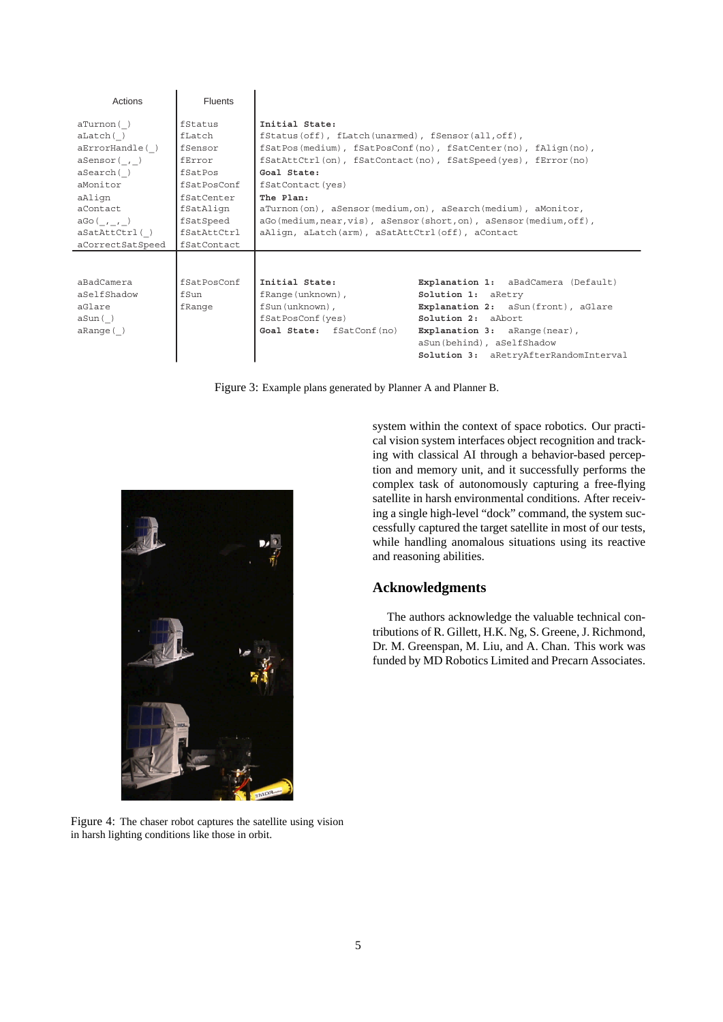| Actions                                                                                                                                                                    | <b>Fluents</b>                                                                                                                         |                                                                                                                                                                                                                                                                                                                                                                                                                                                 |                                                                                                                                                                                                                               |
|----------------------------------------------------------------------------------------------------------------------------------------------------------------------------|----------------------------------------------------------------------------------------------------------------------------------------|-------------------------------------------------------------------------------------------------------------------------------------------------------------------------------------------------------------------------------------------------------------------------------------------------------------------------------------------------------------------------------------------------------------------------------------------------|-------------------------------------------------------------------------------------------------------------------------------------------------------------------------------------------------------------------------------|
| aTurnon()<br>$a$ Latch $( )$<br>$aError$ Handle $()$<br>aSensor( , )<br>aSearch()<br>aMonitor<br>aAlign<br>aContact<br>$aGo($ , , $)$<br>aSatAttCtrl()<br>aCorrectSatSpeed | fStatus<br>fLatch<br>fSensor<br>fError<br>fSatPos<br>fSatPosConf<br>fSatCenter<br>fSatAlign<br>fSatSpeed<br>fSatAttCtrl<br>fSatContact | Initial State:<br>$f$ Status(off), fLatch(unarmed), fSensor(all, off),<br>fSatPos(medium), fSatPosConf(no), fSatCenter(no), fAliqn(no),<br>fSatAttCtrl(on), fSatContact(no), fSatSpeed(yes), fError(no)<br>Goal State:<br>fSatContact(yes)<br>The Plan:<br>aTurnon(on), aSensor(medium, on), aSearch(medium), aMonitor,<br>aGo(medium, near, vis), aSensor(short, on), aSensor(medium, off),<br>aAlign, aLatch(arm), aSatAttCtrl(off), aContact |                                                                                                                                                                                                                               |
| aBadCamera<br>aSelfShadow<br>aGlare<br>aSun()<br>aRange()                                                                                                                  | fSatPosConf<br>fSun<br>fRange                                                                                                          | Initial State:<br>fRange (unknown),<br>fSun(unknown),<br>fSatPosConf (yes)<br>Goal State: fSatConf(no)                                                                                                                                                                                                                                                                                                                                          | Explanation 1: aBadCamera (Default)<br>Solution 1: aRetry<br>Explanation 2: aSun(front), aGlare<br>Solution 2: a Abort<br>Explanation 3: aRange (near),<br>aSun(behind), aSelfShadow<br>Solution 3: aRetryAfterRandomInterval |

Figure 3: Example plans generated by Planner A and Planner B.



Figure 4: The chaser robot captures the satellite using vision in harsh lighting conditions like those in orbit.

system within the context of space robotics. Our practical vision system interfaces object recognition and tracking with classical AI through a behavior-based perception and memory unit, and it successfully performs the complex task of autonomously capturing a free-flying satellite in harsh environmental conditions. After receiving a single high-level "dock" command, the system successfully captured the target satellite in most of our tests, while handling anomalous situations using its reactive and reasoning abilities.

## **Acknowledgments**

The authors acknowledge the valuable technical contributions of R. Gillett, H.K. Ng, S. Greene, J. Richmond, Dr. M. Greenspan, M. Liu, and A. Chan. This work was funded by MD Robotics Limited and Precarn Associates.